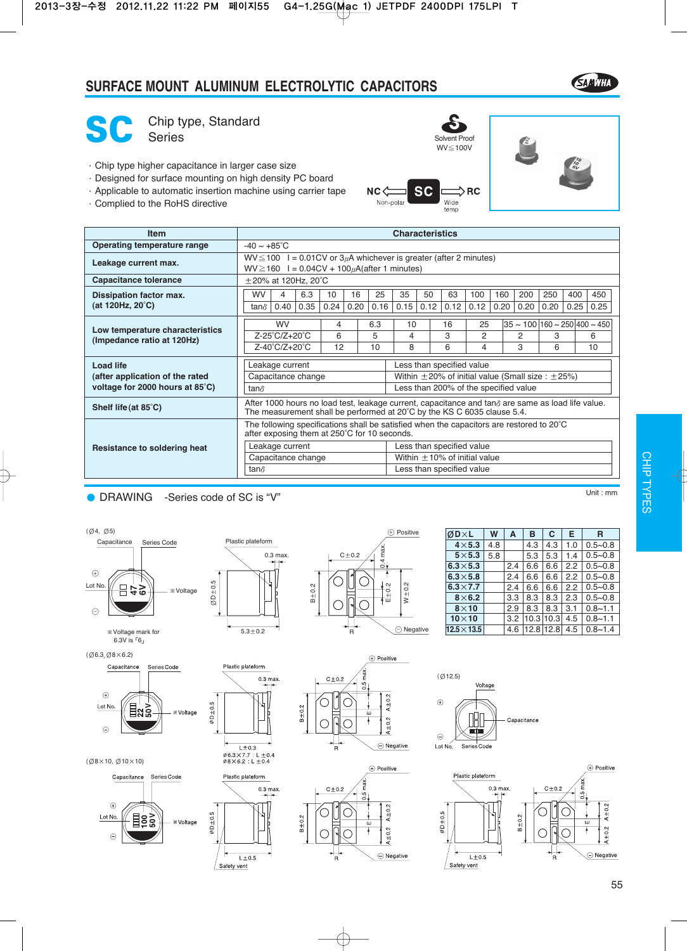### **SURFACE MOUNT ALUMINUM ELECTROLYTIC CAPACITORS**





SC Chip type, Standard Series Solvent Proof

- ·Chip type higher capacitance in larger case size
- ·Designed for surface mounting on high density PC board
- ·Applicable to automatic insertion machine using carrier tape
- ·Complied to the RoHS directive





| <b>Item</b>                                              |                                                                                                                                                                                      | <b>Characteristics</b>   |             |                          |                    |                    |                                                              |            |                      |                         |                     |                                                   |  |
|----------------------------------------------------------|--------------------------------------------------------------------------------------------------------------------------------------------------------------------------------------|--------------------------|-------------|--------------------------|--------------------|--------------------|--------------------------------------------------------------|------------|----------------------|-------------------------|---------------------|---------------------------------------------------|--|
| <b>Operating temperature range</b>                       |                                                                                                                                                                                      | $-40 \sim +85^{\circ}$ C |             |                          |                    |                    |                                                              |            |                      |                         |                     |                                                   |  |
| Leakage current max.                                     | $WV \le 100$ I = 0.01CV or 3 $\mu$ A whichever is greater (after 2 minutes)<br>$WV \ge 160$ I = 0.04CV + 100 $\mu$ A(after 1 minutes)                                                |                          |             |                          |                    |                    |                                                              |            |                      |                         |                     |                                                   |  |
| <b>Capacitance tolerance</b>                             | $\pm$ 20% at 120Hz, 20°C                                                                                                                                                             |                          |             |                          |                    |                    |                                                              |            |                      |                         |                     |                                                   |  |
| Dissipation factor max.                                  | WV<br>$\overline{4}$                                                                                                                                                                 | 6.3                      | 10          | 16<br>25                 | 35                 | 50                 | 100<br>63                                                    | 160        | 200                  | 250                     | 400                 | 450                                               |  |
| (at 120Hz, 20°C)                                         | 0.40<br>tan $\delta$                                                                                                                                                                 | 0.35                     | 0.24        | 0.16<br>0.20             | 0.15               | 0.12<br>0.12       | 0.12                                                         | 0.20       | 0.20                 | 0.20                    | 0.25                | 0.25                                              |  |
|                                                          | <b>WV</b>                                                                                                                                                                            |                          | 4           | 6.3                      | 10                 | 16                 | 25                                                           |            |                      |                         |                     | $35 \sim 100 \,   160 \sim 250 \,   400 \sim 450$ |  |
| Low temperature characteristics                          | $Z-25^{\circ}C/Z+20^{\circ}C$                                                                                                                                                        |                          | 6           | 5                        | 4                  | 3                  | 2                                                            |            | 2                    | 3                       |                     | 6                                                 |  |
| (Impedance ratio at 120Hz)                               | Z-40°C/Z+20°C                                                                                                                                                                        |                          | 12          | 10                       | 8                  | 6                  | 4                                                            |            | 3                    | 6                       |                     | 10                                                |  |
| <b>Load life</b>                                         | Leakage current                                                                                                                                                                      |                          |             |                          |                    |                    | Less than specified value                                    |            |                      |                         |                     |                                                   |  |
| (after application of the rated                          | Capacitance change                                                                                                                                                                   |                          |             |                          |                    |                    | Within $\pm 20$ % of initial value (Small size : $\pm 25$ %) |            |                      |                         |                     |                                                   |  |
| voltage for 2000 hours at 85°C)                          | tan∂                                                                                                                                                                                 |                          |             |                          |                    |                    | Less than 200% of the specified value                        |            |                      |                         |                     |                                                   |  |
| Shelf life (at 85°C)                                     | After 1000 hours no load test, leakage current, capacitance and tan $\delta$ are same as load life value.<br>The measurement shall be performed at 20°C by the KS C 6035 clause 5.4. |                          |             |                          |                    |                    |                                                              |            |                      |                         |                     |                                                   |  |
|                                                          | The following specifications shall be satisfied when the capacitors are restored to 20°C<br>after exposing them at 250°C for 10 seconds.                                             |                          |             |                          |                    |                    |                                                              |            |                      |                         |                     |                                                   |  |
| Resistance to soldering heat                             | Leakage current                                                                                                                                                                      |                          |             |                          |                    |                    | Less than specified value                                    |            |                      |                         |                     |                                                   |  |
|                                                          | Capacitance change                                                                                                                                                                   |                          |             |                          |                    |                    | Within $\pm$ 10% of initial value                            |            |                      |                         |                     |                                                   |  |
|                                                          | tan $\delta$                                                                                                                                                                         |                          |             |                          |                    |                    | Less than specified value                                    |            |                      |                         |                     |                                                   |  |
|                                                          |                                                                                                                                                                                      |                          |             |                          |                    |                    |                                                              |            |                      |                         |                     |                                                   |  |
| <b>DRAWING</b><br>-Series code of SC is "V"              |                                                                                                                                                                                      |                          |             |                          |                    |                    |                                                              |            |                      |                         |                     | Unit: $mm$                                        |  |
|                                                          |                                                                                                                                                                                      |                          |             |                          |                    |                    |                                                              |            |                      |                         |                     |                                                   |  |
|                                                          |                                                                                                                                                                                      |                          |             |                          |                    |                    |                                                              |            |                      |                         |                     |                                                   |  |
| $(\emptyset4, \emptyset5)$<br>Capacitance<br>Series Code | Plastic plateform                                                                                                                                                                    |                          |             |                          | (+) Positive       |                    | ØDXL                                                         | W<br>A     | B                    | C                       | Е                   | $\mathbf{R}$                                      |  |
|                                                          | $0.3$ max.                                                                                                                                                                           |                          | $C \pm 0.2$ | max                      |                    |                    | $4\times 5.3$<br>$5\times 5.3$                               | 4.8<br>5.8 | 4.3<br>5.3           | $\overline{4.3}$<br>5.3 | 1.0<br>1.4          | $0.5 - 0.8$<br>$0.5 - 0.8$                        |  |
|                                                          |                                                                                                                                                                                      |                          |             | $rac{1}{2}$              |                    |                    | $6.3 \times 5.3$                                             |            | 6.6<br>2.4           | 6.6                     | 2.2                 | $0.5 - 0.8$                                       |  |
| $_{\oplus}$                                              |                                                                                                                                                                                      |                          |             |                          |                    |                    | $6.3\times5.8$                                               |            | 2.4<br>6.6           | 6.6                     | 2.2                 | $0.5 - 0.8$                                       |  |
| Lot No.<br>2∻日<br>* Voltage<br>□                         |                                                                                                                                                                                      | $B \pm 0.2$              |             |                          |                    |                    | $6.3\times7.7$                                               |            | 6.6<br>2.4           | 6.6                     | 2.2                 | $0.5 - 0.8$                                       |  |
| $ØD \pm 0.5$                                             |                                                                                                                                                                                      |                          |             | $+2$<br>$+0.2$<br>$+1.2$ | $W \pm 0.2$        |                    | $8\times 6.2$                                                |            | 8.3<br>3.3           | 8.3                     | 2.3                 | $0.5 - 0.8$                                       |  |
| ⊝                                                        |                                                                                                                                                                                      |                          |             |                          |                    |                    | $8\times10$                                                  |            | 2.9<br>8.3           | 8.3<br>10.3 10.3        | 3.1                 | $0.8 - 1.1$                                       |  |
|                                                          |                                                                                                                                                                                      |                          |             |                          | $\ominus$ Negative |                    | $10\times10$<br>$12.5 \times 13.5$                           |            | 3.2<br>4.6 12.8 12.8 |                         | 4.5<br>4.5          | $0.8 - 1.1$<br>$0.8 - 1.4$                        |  |
| * Voltage mark for<br>6.3V is $F61$                      | $5.3 + 0.2$                                                                                                                                                                          |                          | R           |                          |                    |                    |                                                              |            |                      |                         |                     |                                                   |  |
| (Ø6.3.Ø8×6.2)                                            |                                                                                                                                                                                      |                          |             | <b>+ Positive</b>        |                    |                    |                                                              |            |                      |                         |                     |                                                   |  |
| Capacitance<br>Series Code                               | Plastic plateform                                                                                                                                                                    |                          |             |                          |                    |                    |                                                              |            |                      |                         |                     |                                                   |  |
|                                                          | $0.3$ max.                                                                                                                                                                           |                          | $C \pm 0.2$ | ma<br>$\overline{0}$     |                    | (Ø12.5)            | Voltage                                                      |            |                      |                         |                     |                                                   |  |
| $\oplus$                                                 | ┭                                                                                                                                                                                    |                          |             | $\frac{2}{2}$            |                    |                    |                                                              |            |                      |                         |                     |                                                   |  |
| ≣្ឋ័ះ<br>Lot No.                                         |                                                                                                                                                                                      |                          |             | $\bar{A}$                |                    | $\oplus$           |                                                              |            |                      |                         |                     |                                                   |  |
| $\varnothing$ D $\pm$ 0.5<br>* Voltage                   |                                                                                                                                                                                      | $B \pm 0.2$              |             | ш                        |                    |                    |                                                              |            | Capacitance          |                         |                     |                                                   |  |
| $\odot$                                                  |                                                                                                                                                                                      |                          |             | $A \pm 0.2$              |                    |                    | $\Box$                                                       |            |                      |                         |                     |                                                   |  |
|                                                          | $L \pm 0.3$                                                                                                                                                                          |                          | R           |                          | ◯ Negative         | $\odot$<br>Lot No. | Series Code                                                  |            |                      |                         |                     |                                                   |  |
| $(\emptyset$ 8×10, $\emptyset$ 10×10)                    | 063×77:L±04<br>08×62:L±04                                                                                                                                                            |                          |             |                          |                    |                    |                                                              |            |                      |                         |                     |                                                   |  |
|                                                          |                                                                                                                                                                                      |                          |             | (+) Positive             |                    |                    |                                                              |            |                      |                         |                     | (+) Positive                                      |  |
| Series Code<br>Capacitance                               | Plastic plateform                                                                                                                                                                    |                          |             | ma                       |                    |                    | Plastic plateform                                            |            |                      |                         | re                  |                                                   |  |
|                                                          | $0.3$ max.<br>┭                                                                                                                                                                      |                          | $C \pm 0.2$ | ro.<br>$\circ$           |                    |                    |                                                              | $0.3$ max. |                      | $C \pm 0.2$             | $\omega$<br>$\circ$ |                                                   |  |
| ⊕<br>ΙQ.                                                 |                                                                                                                                                                                      |                          |             | ±0.2                     |                    | rÙ.                |                                                              |            |                      |                         |                     | ±0.2                                              |  |

### ● DRAWING -Series code of SC is "V"







| ØDXL             | W   | A   | в    | C    | Е   | R           |
|------------------|-----|-----|------|------|-----|-------------|
| $4\times 5.3$    | 4.8 |     | 4.3  | 4.3  | 1.0 | $0.5 - 0.8$ |
| $5\times 5.3$    | 5.8 |     | 5.3  | 5.3  | 1.4 | $0.5 - 0.8$ |
| $6.3 \times 5.3$ |     | 2.4 | 6.6  | 6.6  | 2.2 | $0.5 - 0.8$ |
| $6.3 \times 5.8$ |     | 2.4 | 6.6  | 6.6  | 2.2 | $0.5 - 0.8$ |
| $6.3\times7.7$   |     | 2.4 | 6.6  | 6.6  | 2.2 | $0.5 - 0.8$ |
| $8\times 6.2$    |     | 3.3 | 8.3  | 8.3  | 2.3 | $0.5 - 0.8$ |
| $8\times10$      |     | 2.9 | 8.3  | 8.3  | 3.1 | $0.8 - 1.1$ |
| $10\times10$     |     | 3.2 | 10.3 | 10.3 | 4.5 | $0.8 - 1.1$ |
| $12.5\times13.5$ |     | 4.6 | 12.8 | 12.8 | 4.5 | $0.8 - 1.4$ |





 $L\pm 0.5$ 

Safety vent











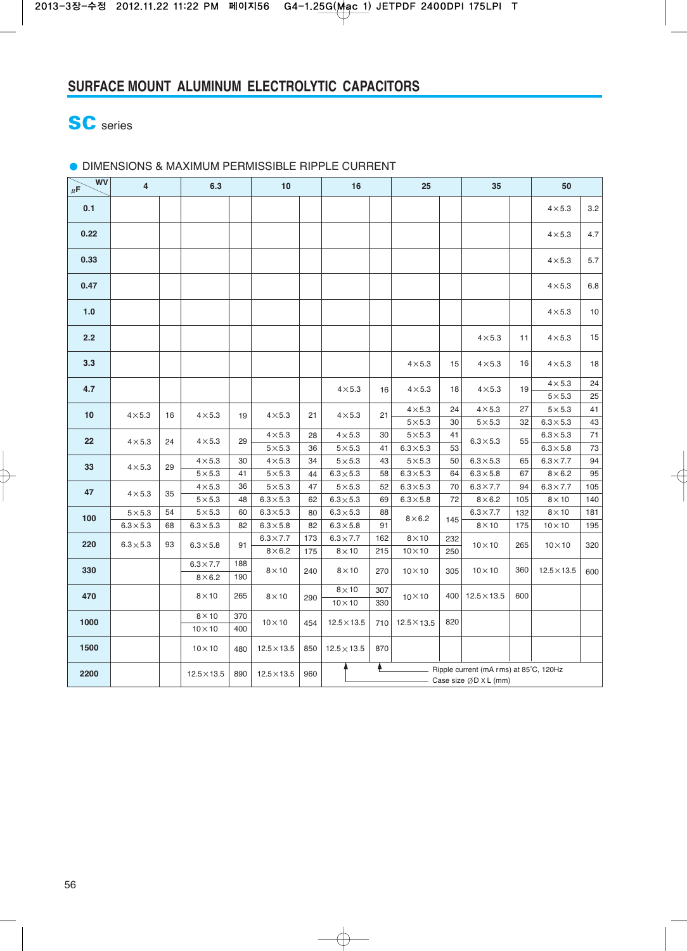## **SC** series

#### ● DIMENSIONS & MAXIMUM PERMISSIBLE RIPPLE CURRENT

| <b>WV</b><br>$\mu$ F | $\overline{\mathbf{4}}$ |    | 6.3                |     | 10                 |              | 16                                                                    |              | 25                 |              | 35                 |              | 50                           |                |    |                  |    |
|----------------------|-------------------------|----|--------------------|-----|--------------------|--------------|-----------------------------------------------------------------------|--------------|--------------------|--------------|--------------------|--------------|------------------------------|----------------|----|------------------|----|
| 0.1                  |                         |    |                    |     |                    |              |                                                                       |              |                    |              |                    |              | $4\times5.3$                 | 3.2            |    |                  |    |
| 0.22                 |                         |    |                    |     |                    |              |                                                                       |              |                    |              |                    |              | $4\times5.3$                 | 4.7            |    |                  |    |
| 0.33                 |                         |    |                    |     |                    |              |                                                                       |              |                    |              |                    |              | $4\times5.3$                 | 5.7            |    |                  |    |
| 0.47                 |                         |    |                    |     |                    |              |                                                                       |              |                    |              |                    |              | $4\times5.3$                 | 6.8            |    |                  |    |
| 1.0                  |                         |    |                    |     |                    |              |                                                                       |              |                    |              |                    |              | $4\times5.3$                 | 10             |    |                  |    |
| 2.2                  |                         |    |                    |     |                    |              |                                                                       |              |                    |              | $4\times5.3$       | 11           | $4\times5.3$                 | 15             |    |                  |    |
| 3.3                  |                         |    |                    |     |                    |              |                                                                       |              | $4\times5.3$       | 15           | $4\times5.3$       | 16           | $4\times5.3$                 | 18             |    |                  |    |
| 4.7                  |                         |    |                    |     |                    |              | $4\times5.3$                                                          | 16           | $4\times5.3$       | 18           | $4\times5.3$       | 19           | $4\times5.3$<br>$5\times5.3$ | 24<br>25       |    |                  |    |
| 10                   | $4\times5.3$            | 16 | $4\times5.3$       | 19  | $4\times5.3$       | 21           | $4\times5.3$                                                          | 21           | $4\times5.3$       | 24           | $4\times5.3$       | 27           | $5\times5.3$                 | 41             |    |                  |    |
|                      |                         |    |                    |     |                    |              |                                                                       |              | $5\times5.3$       | 30           | $5\times5.3$       | 32           | $6.3 \times 5.3$             | 43             |    |                  |    |
| 22                   | $4\times5.3$            | 24 |                    |     |                    | $4\times5.3$ | 29                                                                    | $4\times5.3$ | 28                 | $4\times5.3$ | 30                 | $5\times5.3$ | 41                           | $6.3\times5.3$ | 55 | $6.3 \times 5.3$ | 71 |
|                      |                         |    |                    |     | $5\times5.3$       | 36           | $5\times5.3$                                                          | 41           | $6.3\times5.3$     | 53           |                    |              | $6.3 \times 5.8$             | 73             |    |                  |    |
| 33                   | $4\times5.3$            | 29 | $4\times5.3$       | 30  | $4\times5.3$       | 34           | $5\times5.3$                                                          | 43           | $5\times5.3$       | 50           | $6.3 \times 5.3$   | 65           | $6.3 \times 7.7$             | 94             |    |                  |    |
|                      |                         |    | $5\times5.3$       | 41  | $5\times5.3$       | 44           | $6.3 \times 5.3$                                                      | 58           | $6.3 \times 5.3$   | 64           | $6.3 \times 5.8$   | 67           | $8\times 6.2$                | 95             |    |                  |    |
| 47                   | $4\times5.3$            | 35 | $4\times5.3$       | 36  | $5\times5.3$       | 47           | $5\times5.3$                                                          | 52           | $6.3 \times 5.3$   | 70           | $6.3 \times 7.7$   | 94           | $6.3 \times 7.7$             | 105            |    |                  |    |
|                      |                         |    | $5\times5.3$       | 48  | $6.3 \times 5.3$   | 62           | $6.3 \times 5.3$                                                      | 69           | $6.3\times5.8$     | 72           | $8\times 6.2$      | 105          | $8\times10$                  | 140            |    |                  |    |
| 100                  | $5\times5.3$            | 54 | $5\times5.3$       | 60  | $6.3 \times 5.3$   | 80           | $6.3 \times 5.3$                                                      | 88           | $8\times 6.2$      | 145          | $6.3 \times 7.7$   | 132          | $8\times10$                  | 181            |    |                  |    |
|                      | $6.3\times5.3$          | 68 | $6.3 \times 5.3$   | 82  | $6.3\times5.8$     | 82           | $6.3\times5.8$                                                        | 91           |                    |              | $8\times10$        | 175          | $10\times10$                 | 195            |    |                  |    |
| 220                  | $6.3\times5.3$          | 93 | $6.3\times5.8$     | 91  | $6.3 \times 7.7$   | 173          | $6.3 \times 7.7$                                                      | 162          | $8\times10$<br>232 |              | $10 \times 10$     | 265          | $10\times10$                 | 320            |    |                  |    |
|                      |                         |    |                    |     | $8\times 6.2$      | 175          | $8\times10$                                                           | 215          | $10\times10$       | 250          |                    |              |                              |                |    |                  |    |
| 330                  |                         |    | $6.3 \times 7.7$   | 188 | $8\times10$        | 240          | $8\times10$                                                           | 270          | $10 \times 10$     | 305          | $10 \times 10$     | 360          | $12.5 \times 13.5$           | 600            |    |                  |    |
|                      |                         |    | $8\times 6.2$      | 190 |                    |              |                                                                       |              |                    |              |                    |              |                              |                |    |                  |    |
| 470                  |                         |    | $8\times10$        | 265 | $8\times10$        | 290          | $8\times10$<br>$10\times10$                                           | 307<br>330   | $10 \times 10$     | 400          | $12.5 \times 13.5$ | 600          |                              |                |    |                  |    |
|                      |                         |    | $8\times10$        | 370 |                    |              |                                                                       |              |                    |              |                    |              |                              |                |    |                  |    |
| 1000                 |                         |    | $10 \times 10$     | 400 | $10\times10$       | 454          | $12.5 \times 13.5$                                                    | 710          |                    | 820          |                    |              |                              |                |    |                  |    |
| 1500                 |                         |    | $10\times10$       | 480 | $12.5 \times 13.5$ | 850          | $12.5 \times 13.5$                                                    | 870          |                    |              |                    |              |                              |                |    |                  |    |
| 2200                 |                         |    | $12.5 \times 13.5$ | 890 | $12.5 \times 13.5$ | 960          | Ą.<br>Ripple current (mA rms) at 85°C, 120Hz<br>Case size $ØDXL$ (mm) |              |                    |              |                    |              |                              |                |    |                  |    |